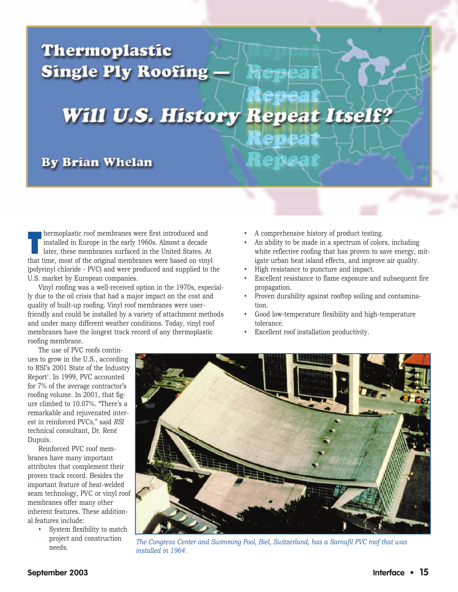# **Thermoplastic Single Ply Roofing -**

# **Will U.S. History Repeat Itself?**

## **By Brian Whelan**

hermoplastic roof membranes were first introduced and installed in Europe in the early 1960s. Almost a decade later, these membranes surfaced in the United States. At installed in Europe in the early 1960s. Almost a decade that time, most of the original membranes were based on vinyl (polyvinyl chloride - PVC) and were produced and supplied to the U.S. market by European companies.

Vinyl roofing was a well-received option in the 1970s, especially due to the oil crisis that had a major impact on the cost and quality of built-up roofing. Vinyl roof membranes were userfriendly and could be installed by a variety of attachment methods and under many different weather conditions. Today, vinyl roof membranes have the longest track record of any thermoplastic roofing membrane.

- A comprehensive history of product testing.
- An ability to be made in a spectrum of colors, including white reflective roofing that has proven to save energy, mitigate urban heat island effects, and improve air quality.
- High resistance to puncture and impact.
- Excellent resistance to flame exposure and subsequent fire propagation.
- Proven durability against rooftop soiling and contamination.
- Good low-temperature flexibility and high-temperature tolerance.
- Excellent roof installation productivity.

The use of PVC roofs continues to grow in the U.S., according to RSI's 2001 State of the Industry Report<sup>1</sup>. In 1999, PVC accounted for 7% of the average contractor's roofing volume. In 2001, that figure climbed to 10.07%. "There's a remarkable and rejuvenated interest in reinforced PVCs," said *RSI*  technical consultant, Dr. René Dupuis.

Reinforced PVC roof membranes have many important attributes that complement their proven track record. Besides the important feature of heat-welded seam technology, PVC or vinyl roof membranes offer many other inherent features. These additional features include:

> • System flexibility to match project and construction needs.



*The Congress Center and Swimming Pool, Biel, Switzerland, has a Sarnafil PVC roof that was installed in 1964.*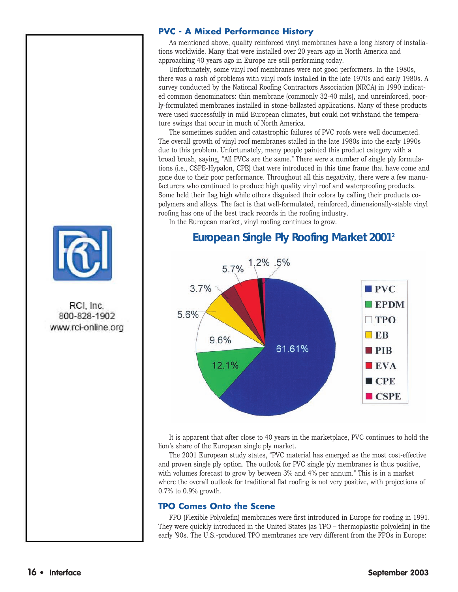

#### **PVC - A Mixed Performance History**

As mentioned above, quality reinforced vinyl membranes have a long history of installations worldwide. Many that were installed over 20 years ago in North America and approaching 40 years ago in Europe are still performing today.

Unfortunately, some vinyl roof membranes were not good performers. In the 1980s, there was a rash of problems with vinyl roofs installed in the late 1970s and early 1980s. A survey conducted by the National Roofing Contractors Association (NRCA) in 1990 indicated common denominators: thin membrane (commonly 32-40 mils), and unreinforced, poorly-formulated membranes installed in stone-ballasted applications. Many of these products were used successfully in mild European climates, but could not withstand the temperature swings that occur in much of North America.

The sometimes sudden and catastrophic failures of PVC roofs were well documented. The overall growth of vinyl roof membranes stalled in the late 1980s into the early 1990s due to this problem. Unfortunately, many people painted this product category with a broad brush, saying, "All PVCs are the same." There were a number of single ply formulations (i.e., CSPE-Hypalon, CPE) that were introduced in this time frame that have come and gone due to their poor performance. Throughout all this negativity, there were a few manufacturers who continued to produce high quality vinyl roof and waterproofing products. Some held their flag high while others disguised their colors by calling their products copolymers and alloys. The fact is that well-formulated, reinforced, dimensionally-stable vinyl roofing has one of the best track records in the roofing industry.

In the European market, vinyl roofing continues to grow.

#### 1.2% .5% 5.7%  $3.7%$  $PVC$  $\blacksquare$  EPDM 5.6%  $\square$  TPO  $E$ B 9.6% 61.61%  $\blacksquare$ PIB 12.1%  $EVA$  $\blacksquare$  CPE  $\blacksquare$  CSPE

### **European Single Ply Roofing Market 20012**

It is apparent that after close to 40 years in the marketplace, PVC continues to hold the lion's share of the European single ply market.

The 2001 European study states, "PVC material has emerged as the most cost-effective and proven single ply option. The outlook for PVC single ply membranes is thus positive, with volumes forecast to grow by between 3% and 4% per annum." This is in a market where the overall outlook for traditional flat roofing is not very positive, with projections of 0.7% to 0.9% growth.

#### **TPO Comes Onto the Scene**

FPO (Flexible Polyolefin) membranes were first introduced in Europe for roofing in 1991. They were quickly introduced in the United States (as TPO – thermoplastic polyolefin) in the early '90s. The U.S.-produced TPO membranes are very different from the FPOs in Europe: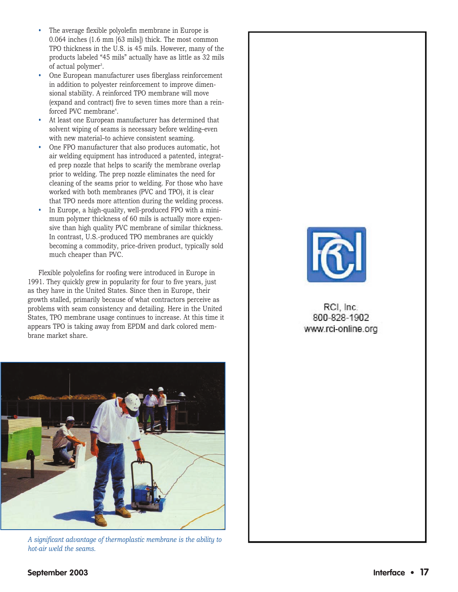- The average flexible polyolefin membrane in Europe is 0.064 inches (1.6 mm [63 mils]) thick. The most common TPO thickness in the U.S. is 45 mils. However, many of the products labeled "45 mils" actually have as little as 32 mils of actual polymer<sup>3</sup>.
- One European manufacturer uses fiberglass reinforcement in addition to polyester reinforcement to improve dimensional stability. A reinforced TPO membrane will move (expand and contract) five to seven times more than a reinforced PVC membrane<sup>4</sup>.
- At least one European manufacturer has determined that solvent wiping of seams is necessary before welding–even with new material–to achieve consistent seaming.
- One FPO manufacturer that also produces automatic, hot air welding equipment has introduced a patented, integrated prep nozzle that helps to scarify the membrane overlap prior to welding. The prep nozzle eliminates the need for cleaning of the seams prior to welding. For those who have worked with both membranes (PVC and TPO), it is clear that TPO needs more attention during the welding process.
- In Europe, a high-quality, well-produced FPO with a minimum polymer thickness of 60 mils is actually more expensive than high quality PVC membrane of similar thickness. In contrast, U.S.-produced TPO membranes are quickly becoming a commodity, price-driven product, typically sold much cheaper than PVC.

Flexible polyolefins for roofing were introduced in Europe in 1991. They quickly grew in popularity for four to five years, just as they have in the United States. Since then in Europe, their growth stalled, primarily because of what contractors perceive as problems with seam consistency and detailing. Here in the United States, TPO membrane usage continues to increase. At this time it appears TPO is taking away from EPDM and dark colored membrane market share.



*A significant advantage of thermoplastic membrane is the ability to hot-air weld the seams.* 



RCI, Inc. 800-828-1902 www.rci-online.org

#### **September 2003 Interface • 17**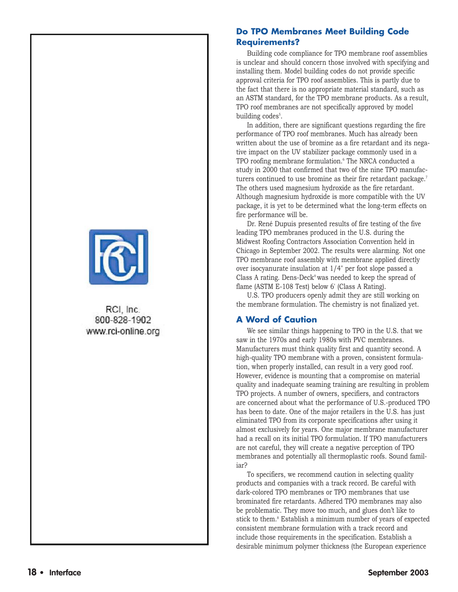

RCI. Inc. 800-828-1902 www.rci-online.org

#### **Do TPO Membranes Meet Building Code Requirements?**

Building code compliance for TPO membrane roof assemblies is unclear and should concern those involved with specifying and installing them. Model building codes do not provide specific approval criteria for TPO roof assemblies. This is partly due to the fact that there is no appropriate material standard, such as an ASTM standard, for the TPO membrane products. As a result, TPO roof membranes are not specifically approved by model building codes<sup>5</sup>.

In addition, there are significant questions regarding the fire performance of TPO roof membranes. Much has already been written about the use of bromine as a fire retardant and its negative impact on the UV stabilizer package commonly used in a TPO roofing membrane formulation.<sup>6</sup> The NRCA conducted a study in 2000 that confirmed that two of the nine TPO manufacturers continued to use bromine as their fire retardant package.<sup>7</sup> The others used magnesium hydroxide as the fire retardant. Although magnesium hydroxide is more compatible with the UV package, it is yet to be determined what the long-term effects on fire performance will be.

Dr. René Dupuis presented results of fire testing of the five leading TPO membranes produced in the U.S. during the Midwest Roofing Contractors Association Convention held in Chicago in September 2002. The results were alarming. Not one TPO membrane roof assembly with membrane applied directly over isocyanurate insulation at 1/4" per foot slope passed a Class A rating. Dens-Deck® was needed to keep the spread of flame (ASTM E-108 Test) below 6' (Class A Rating).

U.S. TPO producers openly admit they are still working on the membrane formulation. The chemistry is not finalized yet.

#### **A Word of Caution**

We see similar things happening to TPO in the U.S. that we saw in the 1970s and early 1980s with PVC membranes. Manufacturers must think quality first and quantity second. A high-quality TPO membrane with a proven, consistent formulation, when properly installed, can result in a very good roof. However, evidence is mounting that a compromise on material quality and inadequate seaming training are resulting in problem TPO projects. A number of owners, specifiers, and contractors are concerned about what the performance of U.S.-produced TPO has been to date. One of the major retailers in the U.S. has just eliminated TPO from its corporate specifications after using it almost exclusively for years. One major membrane manufacturer had a recall on its initial TPO formulation. If TPO manufacturers are not careful, they will create a negative perception of TPO membranes and potentially all thermoplastic roofs. Sound familiar?

To specifiers, we recommend caution in selecting quality products and companies with a track record. Be careful with dark-colored TPO membranes or TPO membranes that use brominated fire retardants. Adhered TPO membranes may also be problematic. They move too much, and glues don't like to stick to them.8 Establish a minimum number of years of expected consistent membrane formulation with a track record and include those requirements in the specification. Establish a desirable minimum polymer thickness (the European experience